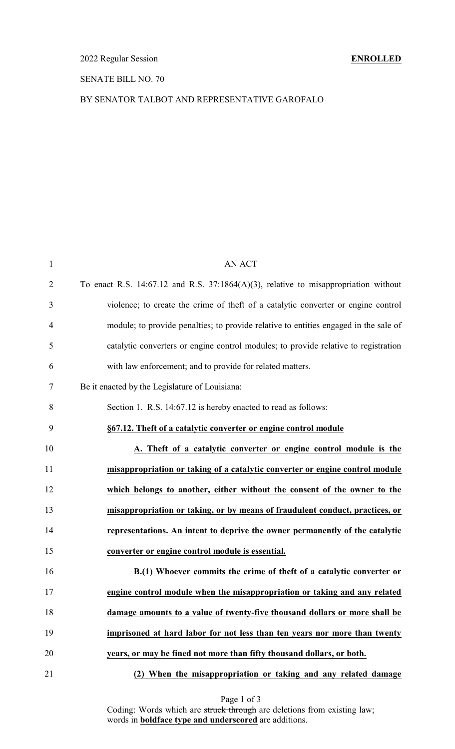## SENATE BILL NO. 70

## BY SENATOR TALBOT AND REPRESENTATIVE GAROFALO

| $\mathbf{1}$   | <b>AN ACT</b>                                                                           |
|----------------|-----------------------------------------------------------------------------------------|
| $\overline{c}$ | To enact R.S. 14:67.12 and R.S. 37:1864 $(A)(3)$ , relative to misappropriation without |
| 3              | violence; to create the crime of theft of a catalytic converter or engine control       |
| 4              | module; to provide penalties; to provide relative to entities engaged in the sale of    |
| 5              | catalytic converters or engine control modules; to provide relative to registration     |
| 6              | with law enforcement; and to provide for related matters.                               |
| 7              | Be it enacted by the Legislature of Louisiana:                                          |
| 8              | Section 1. R.S. 14:67.12 is hereby enacted to read as follows:                          |
| 9              | §67.12. Theft of a catalytic converter or engine control module                         |
| 10             | A. Theft of a catalytic converter or engine control module is the                       |
| 11             | misappropriation or taking of a catalytic converter or engine control module            |
| 12             | which belongs to another, either without the consent of the owner to the                |
| 13             | misappropriation or taking, or by means of fraudulent conduct, practices, or            |
| 14             | representations. An intent to deprive the owner permanently of the catalytic            |
| 15             | converter or engine control module is essential.                                        |
| 16             | B.(1) Whoever commits the crime of theft of a catalytic converter or                    |
| 17             | engine control module when the misappropriation or taking and any related               |
| 18             | damage amounts to a value of twenty-five thousand dollars or more shall be              |
| 19             | imprisoned at hard labor for not less than ten years nor more than twenty               |
| 20             | years, or may be fined not more than fifty thousand dollars, or both.                   |
| 21             | (2) When the misappropriation or taking and any related damage                          |

Page 1 of 3

Coding: Words which are struck through are deletions from existing law; words in **boldface type and underscored** are additions.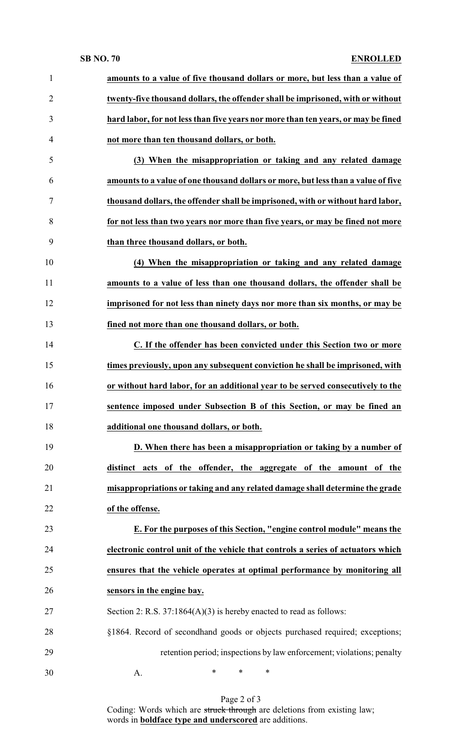## **SB NO. 70 ENROLLED**

| $\mathbf{1}$   | amounts to a value of five thousand dollars or more, but less than a value of     |
|----------------|-----------------------------------------------------------------------------------|
| $\overline{2}$ | twenty-five thousand dollars, the offender shall be imprisoned, with or without   |
| 3              | hard labor, for not less than five years nor more than ten years, or may be fined |
| $\overline{4}$ | not more than ten thousand dollars, or both.                                      |
| 5              | (3) When the misappropriation or taking and any related damage                    |
| 6              | amounts to a value of one thousand dollars or more, but less than a value of five |
| $\tau$         | thousand dollars, the offender shall be imprisoned, with or without hard labor,   |
| 8              | for not less than two years nor more than five years, or may be fined not more    |
| 9              | than three thousand dollars, or both.                                             |
| 10             | (4) When the misappropriation or taking and any related damage                    |
| 11             | amounts to a value of less than one thousand dollars, the offender shall be       |
| 12             | imprisoned for not less than ninety days nor more than six months, or may be      |
| 13             | fined not more than one thousand dollars, or both.                                |
| 14             | C. If the offender has been convicted under this Section two or more              |
| 15             | times previously, upon any subsequent conviction he shall be imprisoned, with     |
| 16             | or without hard labor, for an additional year to be served consecutively to the   |
| 17             | sentence imposed under Subsection B of this Section, or may be fined an           |
| 18             | additional one thousand dollars, or both.                                         |
| 19             | D. When there has been a misappropriation or taking by a number of                |
| 20             | distinct acts of the offender, the aggregate of the amount of the                 |
| 21             | misappropriations or taking and any related damage shall determine the grade      |
| 22             | of the offense.                                                                   |
| 23             | E. For the purposes of this Section, "engine control module" means the            |
| 24             | electronic control unit of the vehicle that controls a series of actuators which  |
| 25             | ensures that the vehicle operates at optimal performance by monitoring all        |
| 26             | sensors in the engine bay.                                                        |
| 27             | Section 2: R.S. $37:1864(A)(3)$ is hereby enacted to read as follows:             |
| 28             | §1864. Record of secondhand goods or objects purchased required; exceptions;      |
| 29             | retention period; inspections by law enforcement; violations; penalty             |
| 30             | ∗<br>*<br>∗<br>A.                                                                 |
|                |                                                                                   |

Page 2 of 3

Coding: Words which are struck through are deletions from existing law; words in **boldface type and underscored** are additions.